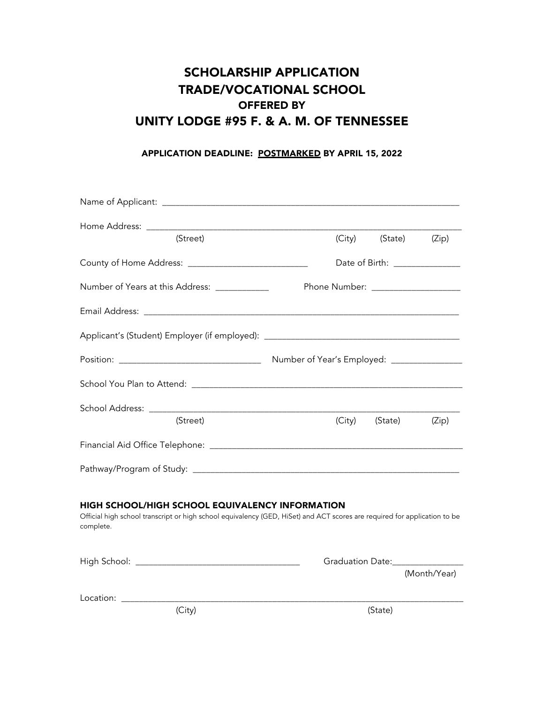## SCHOLARSHIP APPLICATION TRADE/VOCATIONAL SCHOOL OFFERED BY UNITY LODGE #95 F. & A. M. OF TENNESSEE

## APPLICATION DEADLINE: POSTMARKED BY APRIL 15, 2022

| (Street)                                                                                                                                                                                         | (City)                                      | (State) (Zip)                             |  |
|--------------------------------------------------------------------------------------------------------------------------------------------------------------------------------------------------|---------------------------------------------|-------------------------------------------|--|
|                                                                                                                                                                                                  | Date of Birth: _______________              |                                           |  |
| Number of Years at this Address: ____________                                                                                                                                                    |                                             | Phone Number: ____________________        |  |
|                                                                                                                                                                                                  |                                             |                                           |  |
|                                                                                                                                                                                                  |                                             |                                           |  |
|                                                                                                                                                                                                  | Number of Year's Employed: ________________ |                                           |  |
|                                                                                                                                                                                                  |                                             |                                           |  |
| (Street)                                                                                                                                                                                         | (City)                                      | (State)<br>(Zip)                          |  |
|                                                                                                                                                                                                  |                                             |                                           |  |
|                                                                                                                                                                                                  |                                             |                                           |  |
| <b>HIGH SCHOOL/HIGH SCHOOL EQUIVALENCY INFORMATION</b><br>Official high school transcript or high school equivalency (GED, HiSet) and ACT scores are required for application to be<br>complete. |                                             |                                           |  |
|                                                                                                                                                                                                  |                                             | Graduation Date: Changes Craduation Date: |  |
|                                                                                                                                                                                                  |                                             | (Month/Year)                              |  |
| (City)                                                                                                                                                                                           |                                             | (State)                                   |  |
|                                                                                                                                                                                                  |                                             |                                           |  |